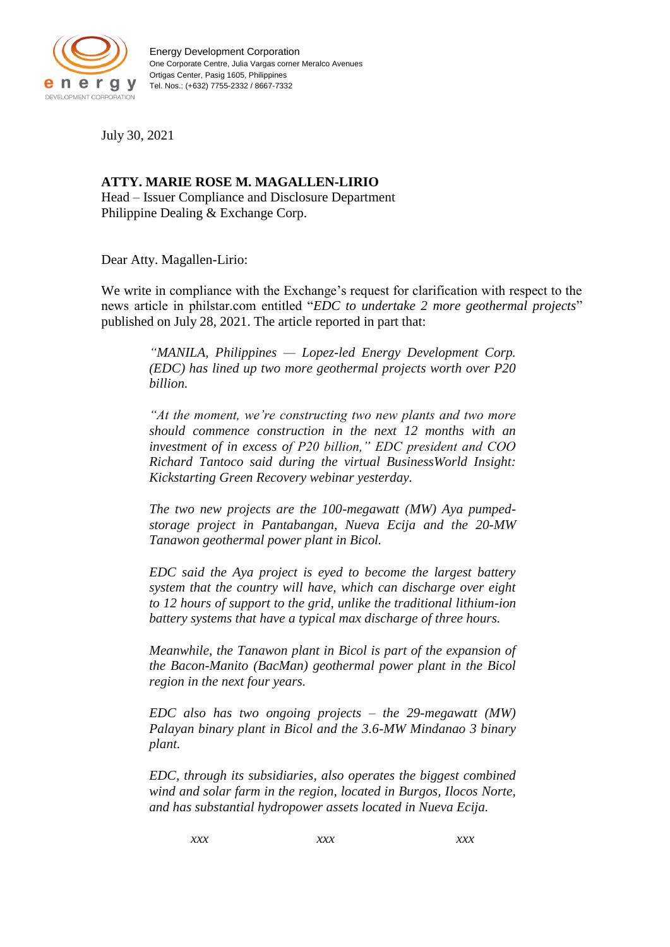

July 30, 2021

## **ATTY. MARIE ROSE M. MAGALLEN-LIRIO** Head – Issuer Compliance and Disclosure Department Philippine Dealing & Exchange Corp.

Dear Atty. Magallen-Lirio:

We write in compliance with the Exchange's request for clarification with respect to the news article in philstar.com entitled "*EDC to undertake 2 more geothermal projects*" published on July 28, 2021. The article reported in part that:

*"MANILA, Philippines — Lopez-led Energy Development Corp. (EDC) has lined up two more geothermal projects worth over P20 billion.* 

*"At the moment, we're constructing two new plants and two more should commence construction in the next 12 months with an investment of in excess of P20 billion," EDC president and COO Richard Tantoco said during the virtual BusinessWorld Insight: Kickstarting Green Recovery webinar yesterday.*

*The two new projects are the 100-megawatt (MW) Aya pumpedstorage project in Pantabangan, Nueva Ecija and the 20-MW Tanawon geothermal power plant in Bicol.*

*EDC said the Aya project is eyed to become the largest battery system that the country will have, which can discharge over eight to 12 hours of support to the grid, unlike the traditional lithium-ion battery systems that have a typical max discharge of three hours.*

*Meanwhile, the Tanawon plant in Bicol is part of the expansion of the Bacon-Manito (BacMan) geothermal power plant in the Bicol region in the next four years.*

*EDC also has two ongoing projects – the 29-megawatt (MW) Palayan binary plant in Bicol and the 3.6-MW Mindanao 3 binary plant.*

*EDC, through its subsidiaries, also operates the biggest combined wind and solar farm in the region, located in Burgos, Ilocos Norte, and has substantial hydropower assets located in Nueva Ecija.*